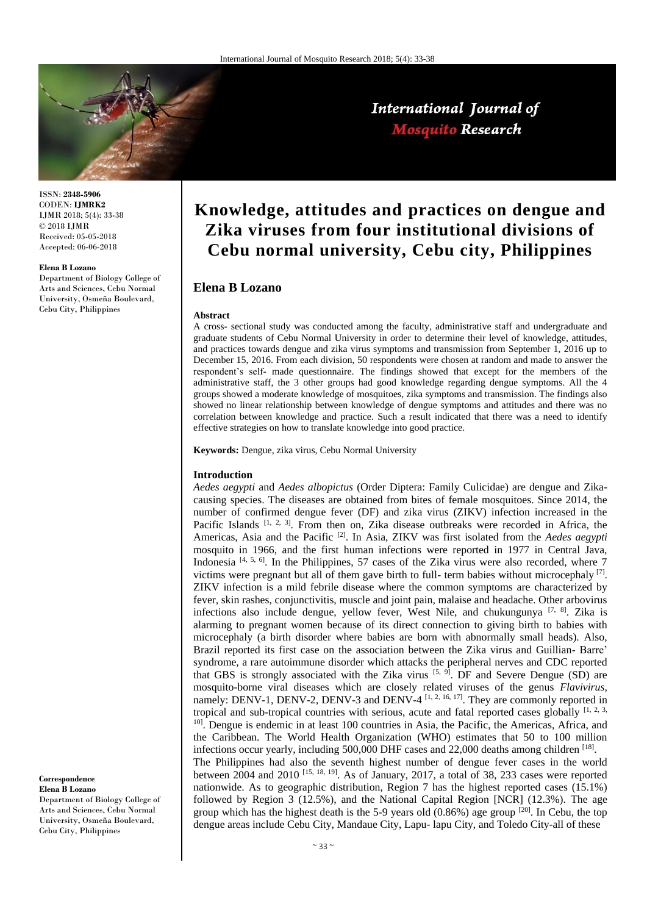

ISSN: **2348-5906** CODEN: **IJMRK2** IJMR 2018; 5(4): 33-38 © 2018 IJMR Received: 05-05-2018 Accepted: 06-06-2018

#### **Elena B Lozano**

Department of Biology College of Arts and Sciences, Cebu Normal University, Osmeña Boulevard, Cebu City, Philippines

# **Knowledge, attitudes and practices on dengue and Zika viruses from four institutional divisions of Cebu normal university, Cebu city, Philippines**

International Journal of **Mosquito Research** 

# **Elena B Lozano**

#### **Abstract**

A cross- sectional study was conducted among the faculty, administrative staff and undergraduate and graduate students of Cebu Normal University in order to determine their level of knowledge, attitudes, and practices towards dengue and zika virus symptoms and transmission from September 1, 2016 up to December 15, 2016. From each division, 50 respondents were chosen at random and made to answer the respondent's self- made questionnaire. The findings showed that except for the members of the administrative staff, the 3 other groups had good knowledge regarding dengue symptoms. All the 4 groups showed a moderate knowledge of mosquitoes, zika symptoms and transmission. The findings also showed no linear relationship between knowledge of dengue symptoms and attitudes and there was no correlation between knowledge and practice. Such a result indicated that there was a need to identify effective strategies on how to translate knowledge into good practice.

**Keywords:** Dengue, zika virus, Cebu Normal University

#### **Introduction**

*Aedes aegypti* and *Aedes albopictus* (Order Diptera: Family Culicidae) are dengue and Zikacausing species. The diseases are obtained from bites of female mosquitoes. Since 2014, the number of confirmed dengue fever (DF) and zika virus (ZIKV) infection increased in the Pacific Islands  $[1, 2, 3]$ . From then on, Zika disease outbreaks were recorded in Africa, the Americas, Asia and the Pacific [2]. In Asia, ZIKV was first isolated from the *Aedes aegypti* mosquito in 1966, and the first human infections were reported in 1977 in Central Java, Indonesia [4, 5, 6]. In the Philippines, 57 cases of the Zika virus were also recorded, where 7 victims were pregnant but all of them gave birth to full- term babies without microcephaly  $[7]$ . ZIKV infection is a mild febrile disease where the common symptoms are characterized by fever, skin rashes, conjunctivitis, muscle and joint pain, malaise and headache. Other arbovirus infections also include dengue, yellow fever, West Nile, and chukungunya <sup>[7, 8]</sup>. Zika is alarming to pregnant women because of its direct connection to giving birth to babies with microcephaly (a birth disorder where babies are born with abnormally small heads). Also, Brazil reported its first case on the association between the Zika virus and Guillian- Barre' syndrome, a rare autoimmune disorder which attacks the peripheral nerves and CDC reported that GBS is strongly associated with the Zika virus  $[5, 9]$ . DF and Severe Dengue (SD) are mosquito-borne viral diseases which are closely related viruses of the genus *Flavivirus,* namely: DENV-1, DENV-2, DENV-3 and DENV-4<sup>[1, 2, 16, 17]</sup>. They are commonly reported in tropical and sub-tropical countries with serious, acute and fatal reported cases globally  $[1, 2, 3, 4]$ <sup>10]</sup>. Dengue is endemic in at least 100 countries in Asia, the Pacific, the Americas, Africa, and the Caribbean. The World Health Organization (WHO) estimates that 50 to 100 million infections occur yearly, including 500,000 DHF cases and 22,000 deaths among children [18]. The Philippines had also the seventh highest number of dengue fever cases in the world between 2004 and 2010  $^{[15, 18, 19]}$ . As of January, 2017, a total of 38, 233 cases were reported nationwide. As to geographic distribution, Region 7 has the highest reported cases (15.1%) followed by Region 3 (12.5%), and the National Capital Region [NCR] (12.3%). The age group which has the highest death is the 5-9 years old  $(0.86%)$  age group  $[20]$ . In Cebu, the top dengue areas include Cebu City, Mandaue City, Lapu- lapu City, and Toledo City-all of these

**Correspondence Elena B Lozano**

Department of Biology College of Arts and Sciences, Cebu Normal University, Osmeña Boulevard, Cebu City, Philippines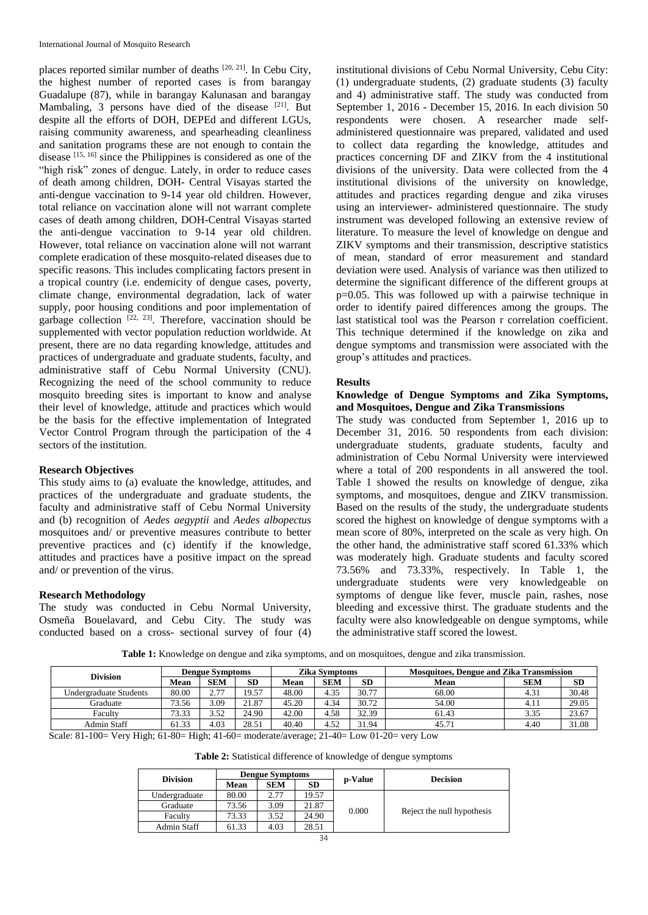places reported similar number of deaths [20, 21]. In Cebu City, the highest number of reported cases is from barangay Guadalupe (87), while in barangay Kalunasan and barangay Mambaling, 3 persons have died of the disease [21]. But despite all the efforts of DOH, DEPEd and different LGUs, raising community awareness, and spearheading cleanliness and sanitation programs these are not enough to contain the disease [15, 16] since the Philippines is considered as one of the "high risk" zones of dengue. Lately, in order to reduce cases of death among children, DOH- Central Visayas started the anti-dengue vaccination to 9-14 year old children. However, total reliance on vaccination alone will not warrant complete cases of death among children, DOH-Central Visayas started the anti-dengue vaccination to 9-14 year old children. However, total reliance on vaccination alone will not warrant complete eradication of these mosquito-related diseases due to specific reasons. This includes complicating factors present in a tropical country (i.e. endemicity of dengue cases, poverty, climate change, environmental degradation, lack of water supply, poor housing conditions and poor implementation of garbage collection  $^{[22, 23]}$ . Therefore, vaccination should be supplemented with vector population reduction worldwide. At present, there are no data regarding knowledge, attitudes and practices of undergraduate and graduate students, faculty, and administrative staff of Cebu Normal University (CNU). Recognizing the need of the school community to reduce mosquito breeding sites is important to know and analyse their level of knowledge, attitude and practices which would be the basis for the effective implementation of Integrated Vector Control Program through the participation of the 4 sectors of the institution.

# **Research Objectives**

This study aims to (a) evaluate the knowledge, attitudes, and practices of the undergraduate and graduate students, the faculty and administrative staff of Cebu Normal University and (b) recognition of *Aedes aegyptii* and *Aedes albopectus* mosquitoes and/ or preventive measures contribute to better preventive practices and (c) identify if the knowledge, attitudes and practices have a positive impact on the spread and/ or prevention of the virus.

## **Research Methodology**

The study was conducted in Cebu Normal University, Osmeña Bouelavard, and Cebu City. The study was conducted based on a cross- sectional survey of four (4)

institutional divisions of Cebu Normal University, Cebu City: (1) undergraduate students, (2) graduate students (3) faculty and 4) administrative staff. The study was conducted from September 1, 2016 - December 15, 2016. In each division 50 respondents were chosen. A researcher made selfadministered questionnaire was prepared, validated and used to collect data regarding the knowledge, attitudes and practices concerning DF and ZIKV from the 4 institutional divisions of the university. Data were collected from the 4 institutional divisions of the university on knowledge, attitudes and practices regarding dengue and zika viruses using an interviewer- administered questionnaire. The study instrument was developed following an extensive review of literature. To measure the level of knowledge on dengue and ZIKV symptoms and their transmission, descriptive statistics of mean, standard of error measurement and standard deviation were used. Analysis of variance was then utilized to determine the significant difference of the different groups at p=0.05. This was followed up with a pairwise technique in order to identify paired differences among the groups. The last statistical tool was the Pearson r correlation coefficient. This technique determined if the knowledge on zika and dengue symptoms and transmission were associated with the group's attitudes and practices.

## **Results**

# **Knowledge of Dengue Symptoms and Zika Symptoms, and Mosquitoes, Dengue and Zika Transmissions**

The study was conducted from September 1, 2016 up to December 31, 2016. 50 respondents from each division: undergraduate students, graduate students, faculty and administration of Cebu Normal University were interviewed where a total of 200 respondents in all answered the tool. Table 1 showed the results on knowledge of dengue, zika symptoms, and mosquitoes, dengue and ZIKV transmission. Based on the results of the study, the undergraduate students scored the highest on knowledge of dengue symptoms with a mean score of 80%, interpreted on the scale as very high. On the other hand, the administrative staff scored 61.33% which was moderately high. Graduate students and faculty scored 73.56% and 73.33%, respectively. In Table 1, the undergraduate students were very knowledgeable on symptoms of dengue like fever, muscle pain, rashes, nose bleeding and excessive thirst. The graduate students and the faculty were also knowledgeable on dengue symptoms, while the administrative staff scored the lowest.

**Table 1:** Knowledge on dengue and zika symptoms, and on mosquitoes, dengue and zika transmission.

| <b>Division</b>        | <b>Dengue Symptoms</b> |                          |           | <b>Zika Symptoms</b> |            |           | <b>Mosquitoes, Dengue and Zika Transmission</b> |            |       |
|------------------------|------------------------|--------------------------|-----------|----------------------|------------|-----------|-------------------------------------------------|------------|-------|
|                        | Mean                   | <b>SEM</b>               | <b>SD</b> | Mean                 | <b>SEM</b> | <b>SD</b> | <b>Mean</b>                                     | <b>SEM</b> | SD    |
| Undergraduate Students | 80.00                  | 27<br>$\overline{2}$ . I | 19.57     | 48.00                | 4.35       | 30.77     | 68.00                                           | 4.31       | 30.48 |
| Graduate               | 73.56                  | 3.09                     | 21.87     | 45.20                | 4.34       | 30.72     | 54.00                                           | 4.11       | 29.05 |
| Faculty                | 73.33                  | 3.52                     | 24.90     | 42.00                | 4.58       | 32.39     | 61.43                                           | 3.35       | 23.67 |
| Admin Staff            | 61.33                  | 4.03                     | 28.51     | 40.40                | 4.52       | 31.94     | 45.71                                           | 4.40       | 31.08 |

Scale: 81-100= Very High; 61-80= High; 41-60= moderate/average; 21-40= Low 01-20= very Low

**Table 2:** Statistical difference of knowledge of dengue symptoms

|                 |       | <b>Dengue Symptoms</b> |           |                                     | <b>Decision</b> |  |
|-----------------|-------|------------------------|-----------|-------------------------------------|-----------------|--|
| <b>Division</b> | Mean  | <b>SEM</b>             | <b>SD</b> | p-Value                             |                 |  |
| Undergraduate   | 80.00 | 2.77                   | 19.57     |                                     |                 |  |
| Graduate        | 73.56 | 3.09                   | 21.87     | 0.000<br>Reject the null hypothesis |                 |  |
| Faculty         | 73.33 | 3.52                   | 24.90     |                                     |                 |  |
| Admin Staff     | 61.33 | 4.03                   | 28.51     |                                     |                 |  |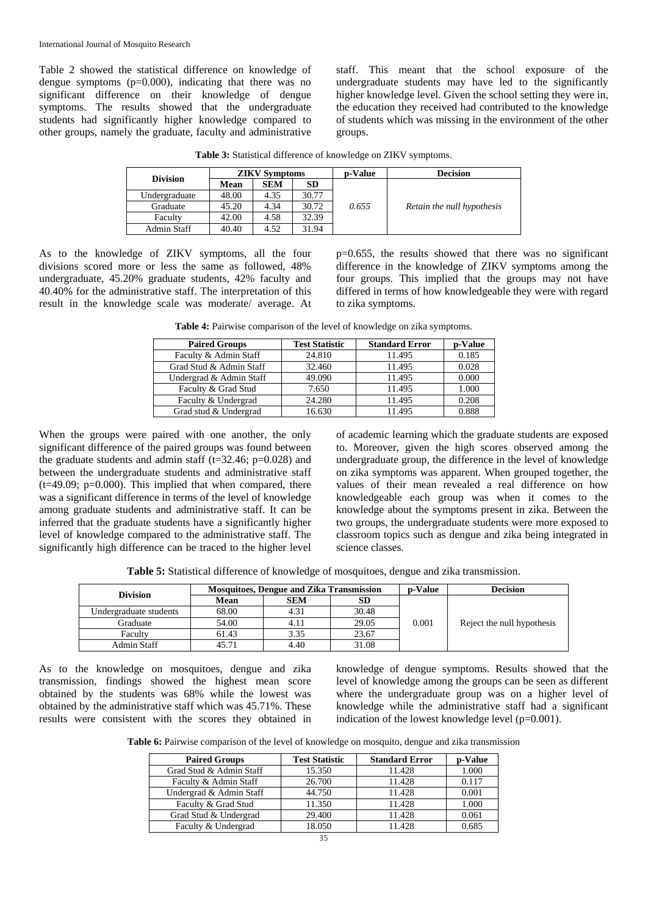Table 2 showed the statistical difference on knowledge of dengue symptoms  $(p=0.000)$ , indicating that there was no significant difference on their knowledge of dengue symptoms. The results showed that the undergraduate students had significantly higher knowledge compared to other groups, namely the graduate, faculty and administrative staff. This meant that the school exposure of the undergraduate students may have led to the significantly higher knowledge level. Given the school setting they were in, the education they received had contributed to the knowledge of students which was missing in the environment of the other groups.

| <b>Division</b> |       | <b>ZIKV Symptoms</b> |           | <b>p-Value</b> | <b>Decision</b>            |
|-----------------|-------|----------------------|-----------|----------------|----------------------------|
|                 | Mean  | <b>SEM</b>           | <b>SD</b> |                |                            |
| Undergraduate   | 48.00 | 4.35                 | 30.77     |                | Retain the null hypothesis |
| Graduate        | 45.20 | 4.34                 | 30.72     | 0.655          |                            |
| Faculty         | 42.00 | 4.58                 | 32.39     |                |                            |
| Admin Staff     | 40.40 | 4.52                 | 31.94     |                |                            |

**Table 3:** Statistical difference of knowledge on ZIKV symptoms.

As to the knowledge of ZIKV symptoms, all the four divisions scored more or less the same as followed, 48% undergraduate, 45.20% graduate students, 42% faculty and 40.40% for the administrative staff. The interpretation of this result in the knowledge scale was moderate/ average. At p=0.655, the results showed that there was no significant difference in the knowledge of ZIKV symptoms among the four groups. This implied that the groups may not have differed in terms of how knowledgeable they were with regard to zika symptoms.

**Table 4:** Pairwise comparison of the level of knowledge on zika symptoms.

| <b>Paired Groups</b>    | <b>Test Statistic</b> | <b>Standard Error</b> | p-Value |
|-------------------------|-----------------------|-----------------------|---------|
| Faculty & Admin Staff   | 24.810                | 11.495                | 0.185   |
| Grad Stud & Admin Staff | 32.460                | 11.495                | 0.028   |
| Undergrad & Admin Staff | 49.090                | 11.495                | 0.000   |
| Faculty & Grad Stud     | 7.650                 | 11.495                | 1.000   |
| Faculty & Undergrad     | 24.280                | 11.495                | 0.208   |
| Grad stud & Undergrad   | 16.630                | 11.495                | 0.888   |

When the groups were paired with one another, the only significant difference of the paired groups was found between the graduate students and admin staff ( $t=32.46$ ;  $p=0.028$ ) and between the undergraduate students and administrative staff  $(t=49.09; p=0.000)$ . This implied that when compared, there was a significant difference in terms of the level of knowledge among graduate students and administrative staff. It can be inferred that the graduate students have a significantly higher level of knowledge compared to the administrative staff. The significantly high difference can be traced to the higher level of academic learning which the graduate students are exposed to. Moreover, given the high scores observed among the undergraduate group, the difference in the level of knowledge on zika symptoms was apparent. When grouped together, the values of their mean revealed a real difference on how knowledgeable each group was when it comes to the knowledge about the symptoms present in zika. Between the two groups, the undergraduate students were more exposed to classroom topics such as dengue and zika being integrated in science classes.

**Table 5:** Statistical difference of knowledge of mosquitoes, dengue and zika transmission.

| <b>Division</b>        |       | <b>Mosquitoes, Dengue and Zika Transmission</b> | <b>p-Value</b> | <b>Decision</b> |                            |  |  |
|------------------------|-------|-------------------------------------------------|----------------|-----------------|----------------------------|--|--|
|                        | Mean  | <b>SEM</b>                                      | SD.            |                 |                            |  |  |
| Undergraduate students | 68.00 | 4.31                                            | 30.48          |                 |                            |  |  |
| Graduate               | 54.00 | 4.11                                            | 29.05          | 0.001           | Reject the null hypothesis |  |  |
| Faculty                | 61.43 | 3.35                                            | 23.67          |                 |                            |  |  |
| Admin Staff            | 45.71 | 4.40                                            | 31.08          |                 |                            |  |  |

As to the knowledge on mosquitoes, dengue and zika transmission, findings showed the highest mean score obtained by the students was 68% while the lowest was obtained by the administrative staff which was 45.71%. These results were consistent with the scores they obtained in

knowledge of dengue symptoms. Results showed that the level of knowledge among the groups can be seen as different where the undergraduate group was on a higher level of knowledge while the administrative staff had a significant indication of the lowest knowledge level (p=0.001).

**Table 6:** Pairwise comparison of the level of knowledge on mosquito, dengue and zika transmission

| <b>Paired Groups</b>    | <b>Test Statistic</b> | <b>Standard Error</b> | p-Value |
|-------------------------|-----------------------|-----------------------|---------|
| Grad Stud & Admin Staff | 15.350                | 11.428                | 1.000   |
| Faculty & Admin Staff   | 26.700                | 11.428                | 0.117   |
| Undergrad & Admin Staff | 44.750                | 11.428                | 0.001   |
| Faculty & Grad Stud     | 11.350                | 11.428                | 1.000   |
| Grad Stud & Undergrad   | 29.400                | 11.428                | 0.061   |
| Faculty & Undergrad     | 18.050                | 11.428                | 0.685   |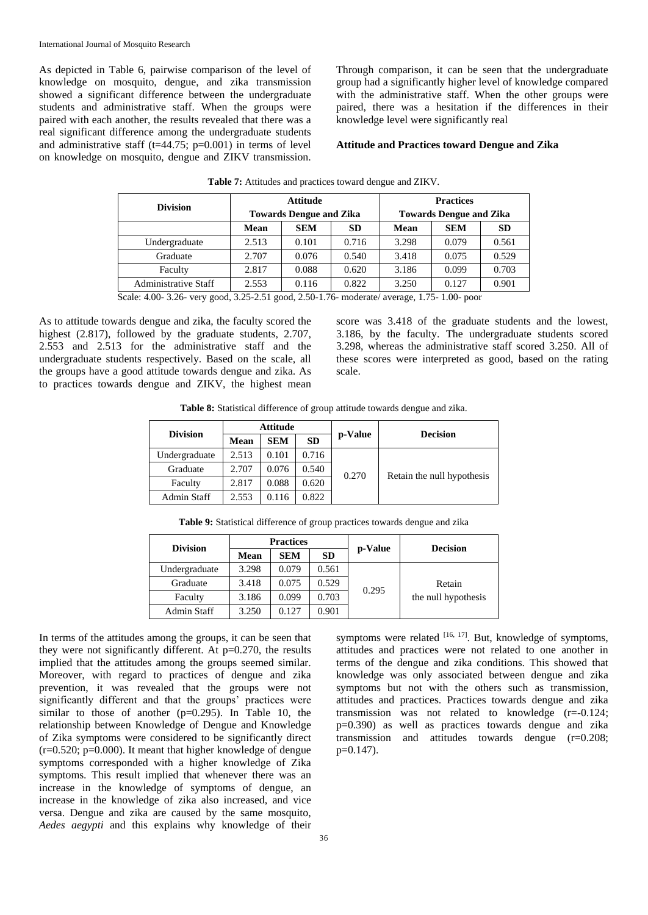As depicted in Table 6, pairwise comparison of the level of knowledge on mosquito, dengue, and zika transmission showed a significant difference between the undergraduate students and administrative staff. When the groups were paired with each another, the results revealed that there was a real significant difference among the undergraduate students and administrative staff (t=44.75;  $p=0.001$ ) in terms of level on knowledge on mosquito, dengue and ZIKV transmission. Through comparison, it can be seen that the undergraduate group had a significantly higher level of knowledge compared with the administrative staff. When the other groups were paired, there was a hesitation if the differences in their knowledge level were significantly real

#### **Attitude and Practices toward Dengue and Zika**

| <b>Division</b>             |       | <b>Attitude</b>                |           | <b>Practices</b>               |            |           |  |
|-----------------------------|-------|--------------------------------|-----------|--------------------------------|------------|-----------|--|
|                             |       | <b>Towards Dengue and Zika</b> |           | <b>Towards Dengue and Zika</b> |            |           |  |
|                             | Mean  | <b>SEM</b>                     | <b>SD</b> | Mean                           | <b>SEM</b> | <b>SD</b> |  |
| Undergraduate               | 2.513 | 0.101                          | 0.716     | 3.298                          | 0.079      | 0.561     |  |
| Graduate                    | 2.707 | 0.076                          | 0.540     | 3.418                          | 0.075      | 0.529     |  |
| Faculty                     | 2.817 | 0.088                          | 0.620     | 3.186                          | 0.099      | 0.703     |  |
| <b>Administrative Staff</b> | 2.553 | 0.116                          | 0.822     | 3.250                          | 0.127      | 0.901     |  |

**Table 7:** Attitudes and practices toward dengue and ZIKV.

Scale: 4.00- 3.26- very good, 3.25-2.51 good, 2.50-1.76- moderate/ average, 1.75- 1.00- poor

As to attitude towards dengue and zika, the faculty scored the highest (2.817), followed by the graduate students, 2.707, 2.553 and 2.513 for the administrative staff and the undergraduate students respectively. Based on the scale, all the groups have a good attitude towards dengue and zika. As to practices towards dengue and ZIKV, the highest mean score was 3.418 of the graduate students and the lowest, 3.186, by the faculty. The undergraduate students scored 3.298, whereas the administrative staff scored 3.250. All of these scores were interpreted as good, based on the rating scale.

**Table 8:** Statistical difference of group attitude towards dengue and zika.

| <b>Division</b> |       | Attitude   |           |         |                            |  |
|-----------------|-------|------------|-----------|---------|----------------------------|--|
|                 | Mean  | <b>SEM</b> | <b>SD</b> | p-Value | <b>Decision</b>            |  |
| Undergraduate   | 2.513 | 0.101      | 0.716     |         |                            |  |
| Graduate        | 2.707 | 0.076      | 0.540     | 0.270   |                            |  |
| Faculty         | 2.817 | 0.088      | 0.620     |         | Retain the null hypothesis |  |
| Admin Staff     | 2.553 | 0.116      | 0.822     |         |                            |  |

**Table 9:** Statistical difference of group practices towards dengue and zika

| <b>Division</b> |       | <b>Practices</b> |           |         | <b>Decision</b>     |  |
|-----------------|-------|------------------|-----------|---------|---------------------|--|
|                 | Mean  | <b>SEM</b>       | <b>SD</b> | p-Value |                     |  |
| Undergraduate   | 3.298 | 0.079            | 0.561     |         |                     |  |
| Graduate        | 3.418 | 0.075            | 0.529     | 0.295   | Retain              |  |
| Faculty         | 3.186 | 0.099            | 0.703     |         | the null hypothesis |  |
| Admin Staff     | 3.250 | 0.127            | 0.901     |         |                     |  |

In terms of the attitudes among the groups, it can be seen that they were not significantly different. At  $p=0.270$ , the results implied that the attitudes among the groups seemed similar. Moreover, with regard to practices of dengue and zika prevention, it was revealed that the groups were not significantly different and that the groups' practices were similar to those of another  $(p=0.295)$ . In Table 10, the relationship between Knowledge of Dengue and Knowledge of Zika symptoms were considered to be significantly direct  $(r=0.520; p=0.000)$ . It meant that higher knowledge of dengue symptoms corresponded with a higher knowledge of Zika symptoms. This result implied that whenever there was an increase in the knowledge of symptoms of dengue, an increase in the knowledge of zika also increased, and vice versa. Dengue and zika are caused by the same mosquito, *Aedes aegypti* and this explains why knowledge of their

symptoms were related [16, 17]. But, knowledge of symptoms, attitudes and practices were not related to one another in terms of the dengue and zika conditions. This showed that knowledge was only associated between dengue and zika symptoms but not with the others such as transmission, attitudes and practices. Practices towards dengue and zika transmission was not related to knowledge (r=-0.124; p=0.390) as well as practices towards dengue and zika transmission and attitudes towards dengue (r=0.208; p=0.147).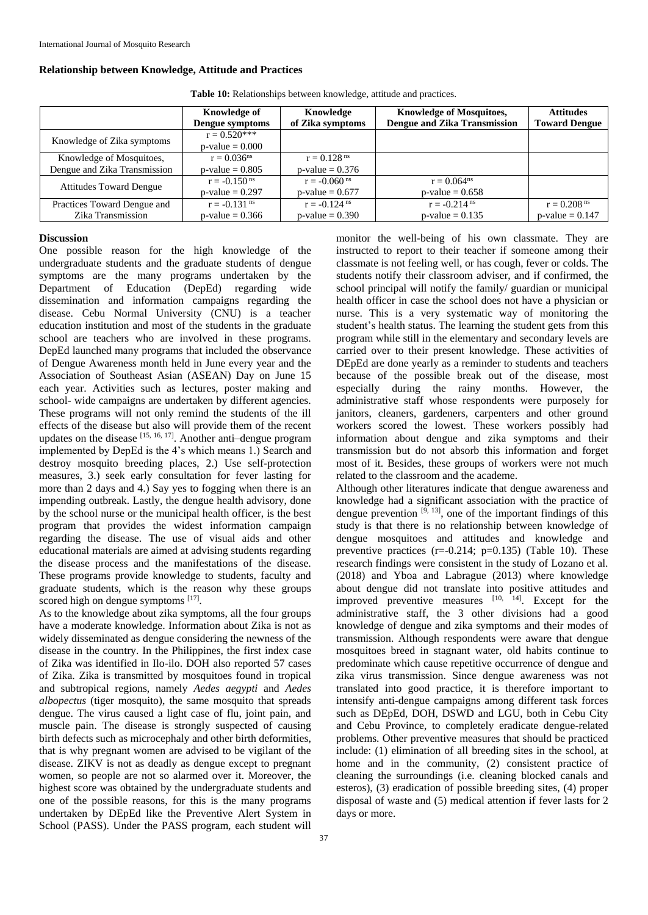**Relationship between Knowledge, Attitude and Practices**

#### **Knowledge of Dengue symptoms Knowledge of Zika symptoms Knowledge of Mosquitoes, Dengue and Zika Transmission Attitudes Toward Dengue** Knowledge of Zika symptoms  $r = 0.520^{***}$  $p-value = 0.000$ Knowledge of Mosquitoes, Dengue and Zika Transmission  $r = 0.036$ <sup>ns</sup>  $p-value = 0.805$  $r = 0.128$ <sup>ns</sup>  $p$ -value = 0.376 Attitudes Toward Dengue  $r = -0.150 \text{ ns}$  $p-value = 0.297$  $r = -0.060$ <sup>ns</sup>  $p-value = 0.677$  $r = 0.064$ <sup>ns</sup>  $p-value = 0.658$ Practices Toward Dengue and Zika Transmission  $r = -0.131$  ns  $p$ -value = 0.366  $r = -0.124$ <sup>ns</sup>  $p-value = 0.390$  $r = -0.214$  ns  $p-value = 0.135$  $r = 0.208$ <sup>ns</sup>  $p-value = 0.147$

**Table 10:** Relationships between knowledge, attitude and practices.

# **Discussion**

One possible reason for the high knowledge of the undergraduate students and the graduate students of dengue symptoms are the many programs undertaken by the Department of Education (DepEd) regarding wide dissemination and information campaigns regarding the disease. Cebu Normal University (CNU) is a teacher education institution and most of the students in the graduate school are teachers who are involved in these programs. DepEd launched many programs that included the observance of Dengue Awareness month held in June every year and the Association of Southeast Asian (ASEAN) Day on June 15 each year. Activities such as lectures, poster making and school- wide campaigns are undertaken by different agencies. These programs will not only remind the students of the ill effects of the disease but also will provide them of the recent updates on the disease  $[15, 16, 17]$ . Another anti-dengue program implemented by DepEd is the 4's which means 1.) Search and destroy mosquito breeding places, 2.) Use self-protection measures, 3.) seek early consultation for fever lasting for more than 2 days and 4.) Say yes to fogging when there is an impending outbreak. Lastly, the dengue health advisory, done by the school nurse or the municipal health officer, is the best program that provides the widest information campaign regarding the disease. The use of visual aids and other educational materials are aimed at advising students regarding the disease process and the manifestations of the disease. These programs provide knowledge to students, faculty and graduate students, which is the reason why these groups scored high on dengue symptoms [17].

As to the knowledge about zika symptoms, all the four groups have a moderate knowledge. Information about Zika is not as widely disseminated as dengue considering the newness of the disease in the country. In the Philippines, the first index case of Zika was identified in Ilo-ilo. DOH also reported 57 cases of Zika. Zika is transmitted by mosquitoes found in tropical and subtropical regions, namely *Aedes aegypti* and *Aedes albopectus* (tiger mosquito), the same mosquito that spreads dengue. The virus caused a light case of flu, joint pain, and muscle pain. The disease is strongly suspected of causing birth defects such as microcephaly and other birth deformities, that is why pregnant women are advised to be vigilant of the disease. ZIKV is not as deadly as dengue except to pregnant women, so people are not so alarmed over it. Moreover, the highest score was obtained by the undergraduate students and one of the possible reasons, for this is the many programs undertaken by DEpEd like the Preventive Alert System in School (PASS). Under the PASS program, each student will

monitor the well-being of his own classmate. They are instructed to report to their teacher if someone among their classmate is not feeling well, or has cough, fever or colds. The students notify their classroom adviser, and if confirmed, the school principal will notify the family/ guardian or municipal health officer in case the school does not have a physician or nurse. This is a very systematic way of monitoring the student's health status. The learning the student gets from this program while still in the elementary and secondary levels are carried over to their present knowledge. These activities of DEpEd are done yearly as a reminder to students and teachers because of the possible break out of the disease, most especially during the rainy months. However, the administrative staff whose respondents were purposely for janitors, cleaners, gardeners, carpenters and other ground workers scored the lowest. These workers possibly had information about dengue and zika symptoms and their transmission but do not absorb this information and forget most of it. Besides, these groups of workers were not much related to the classroom and the academe.

Although other literatures indicate that dengue awareness and knowledge had a significant association with the practice of dengue prevention  $[9, 13]$ , one of the important findings of this study is that there is no relationship between knowledge of dengue mosquitoes and attitudes and knowledge and preventive practices  $(r=-0.214; p=0.135)$  (Table 10). These research findings were consistent in the study of Lozano et al. (2018) and Yboa and Labrague (2013) where knowledge about dengue did not translate into positive attitudes and improved preventive measures  $[10, 14]$ . Except for the administrative staff, the 3 other divisions had a good knowledge of dengue and zika symptoms and their modes of transmission. Although respondents were aware that dengue mosquitoes breed in stagnant water, old habits continue to predominate which cause repetitive occurrence of dengue and zika virus transmission. Since dengue awareness was not translated into good practice, it is therefore important to intensify anti-dengue campaigns among different task forces such as DEpEd, DOH, DSWD and LGU, both in Cebu City and Cebu Province, to completely eradicate dengue-related problems. Other preventive measures that should be practiced include: (1) elimination of all breeding sites in the school, at home and in the community, (2) consistent practice of cleaning the surroundings (i.e. cleaning blocked canals and esteros), (3) eradication of possible breeding sites, (4) proper disposal of waste and (5) medical attention if fever lasts for 2 days or more.